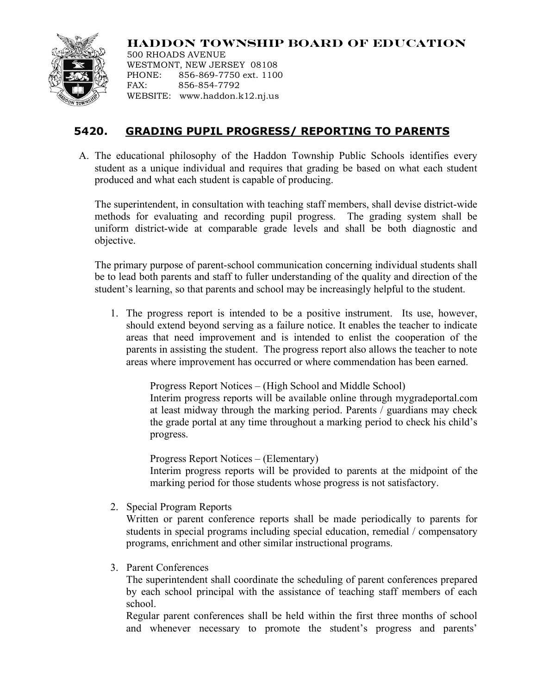

**HADDON TOWNSHIP BOARD OF EDUCATION** 500 RHOADS AVENUE

WESTMONT, NEW JERSEY 08108 PHONE: 856-869-7750 ext. 1100 FAX: 856-854-7792 WEBSITE: www.haddon.k12.nj.us

## **5420. GRADING PUPIL PROGRESS/ REPORTING TO PARENTS**

A. The educational philosophy of the Haddon Township Public Schools identifies every student as a unique individual and requires that grading be based on what each student produced and what each student is capable of producing.

The superintendent, in consultation with teaching staff members, shall devise district-wide methods for evaluating and recording pupil progress. The grading system shall be uniform district-wide at comparable grade levels and shall be both diagnostic and objective.

The primary purpose of parent-school communication concerning individual students shall be to lead both parents and staff to fuller understanding of the quality and direction of the student's learning, so that parents and school may be increasingly helpful to the student.

1. The progress report is intended to be a positive instrument. Its use, however, should extend beyond serving as a failure notice. It enables the teacher to indicate areas that need improvement and is intended to enlist the cooperation of the parents in assisting the student. The progress report also allows the teacher to note areas where improvement has occurred or where commendation has been earned.

> Progress Report Notices – (High School and Middle School) Interim progress reports will be available online through mygradeportal.com at least midway through the marking period. Parents / guardians may check the grade portal at any time throughout a marking period to check his child's progress.

Progress Report Notices – (Elementary)

Interim progress reports will be provided to parents at the midpoint of the marking period for those students whose progress is not satisfactory.

2. Special Program Reports

Written or parent conference reports shall be made periodically to parents for students in special programs including special education, remedial / compensatory programs, enrichment and other similar instructional programs.

3. Parent Conferences

The superintendent shall coordinate the scheduling of parent conferences prepared by each school principal with the assistance of teaching staff members of each school.

Regular parent conferences shall be held within the first three months of school and whenever necessary to promote the student's progress and parents'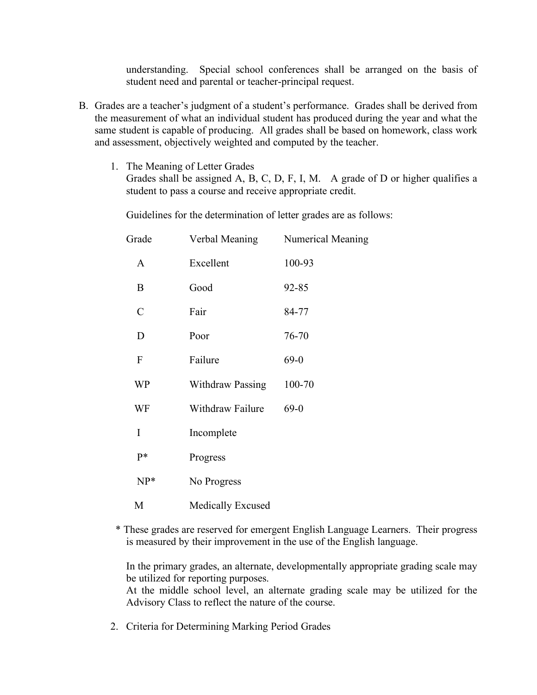understanding. Special school conferences shall be arranged on the basis of student need and parental or teacher-principal request.

- B. Grades are a teacher's judgment of a student's performance. Grades shall be derived from the measurement of what an individual student has produced during the year and what the same student is capable of producing. All grades shall be based on homework, class work and assessment, objectively weighted and computed by the teacher.
	- 1. The Meaning of Letter Grades Grades shall be assigned A, B, C, D, F, I, M.A grade of D or higher qualifies a student to pass a course and receive appropriate credit.

Guidelines for the determination of letter grades are as follows:

| Grade         | Verbal Meaning           | Numerical Meaning |
|---------------|--------------------------|-------------------|
| $\mathbf{A}$  | Excellent                | 100-93            |
| B             | Good                     | 92-85             |
| $\mathcal{C}$ | Fair                     | 84-77             |
| D             | Poor                     | 76-70             |
| $\mathbf{F}$  | Failure                  | $69-0$            |
| WP            | <b>Withdraw Passing</b>  | 100-70            |
| WF            | Withdraw Failure         | $69-0$            |
| I             | Incomplete               |                   |
| p*            | Progress                 |                   |
| $NP*$         | No Progress              |                   |
| M             | <b>Medically Excused</b> |                   |

 \* These grades are reserved for emergent English Language Learners. Their progress is measured by their improvement in the use of the English language.

In the primary grades, an alternate, developmentally appropriate grading scale may be utilized for reporting purposes.

At the middle school level, an alternate grading scale may be utilized for the Advisory Class to reflect the nature of the course.

2. Criteria for Determining Marking Period Grades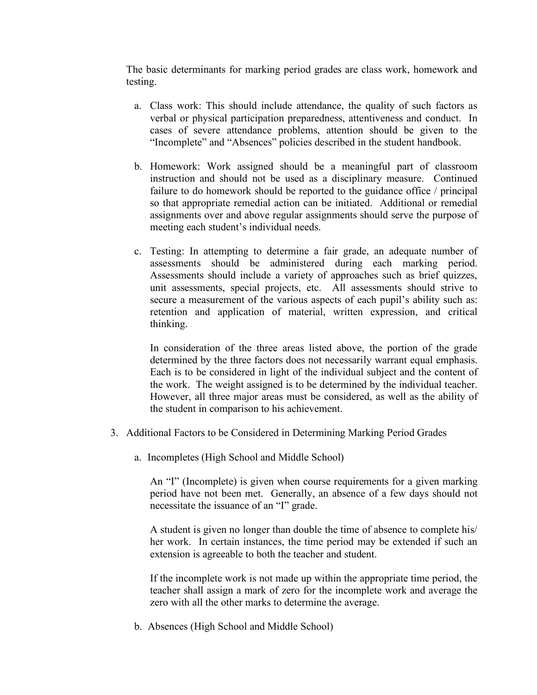The basic determinants for marking period grades are class work, homework and testing.

- a. Class work: This should include attendance, the quality of such factors as verbal or physical participation preparedness, attentiveness and conduct. In cases of severe attendance problems, attention should be given to the "Incomplete" and "Absences" policies described in the student handbook.
- b. Homework: Work assigned should be a meaningful part of classroom instruction and should not be used as a disciplinary measure. Continued failure to do homework should be reported to the guidance office / principal so that appropriate remedial action can be initiated. Additional or remedial assignments over and above regular assignments should serve the purpose of meeting each student's individual needs.
- c. Testing: In attempting to determine a fair grade, an adequate number of assessments should be administered during each marking period. Assessments should include a variety of approaches such as brief quizzes, unit assessments, special projects, etc. All assessments should strive to secure a measurement of the various aspects of each pupil's ability such as: retention and application of material, written expression, and critical thinking.

In consideration of the three areas listed above, the portion of the grade determined by the three factors does not necessarily warrant equal emphasis. Each is to be considered in light of the individual subject and the content of the work. The weight assigned is to be determined by the individual teacher. However, all three major areas must be considered, as well as the ability of the student in comparison to his achievement.

- 3. Additional Factors to be Considered in Determining Marking Period Grades
	- a. Incompletes (High School and Middle School)

An "I" (Incomplete) is given when course requirements for a given marking period have not been met. Generally, an absence of a few days should not necessitate the issuance of an "I" grade.

A student is given no longer than double the time of absence to complete his/ her work. In certain instances, the time period may be extended if such an extension is agreeable to both the teacher and student.

If the incomplete work is not made up within the appropriate time period, the teacher shall assign a mark of zero for the incomplete work and average the zero with all the other marks to determine the average.

b. Absences (High School and Middle School)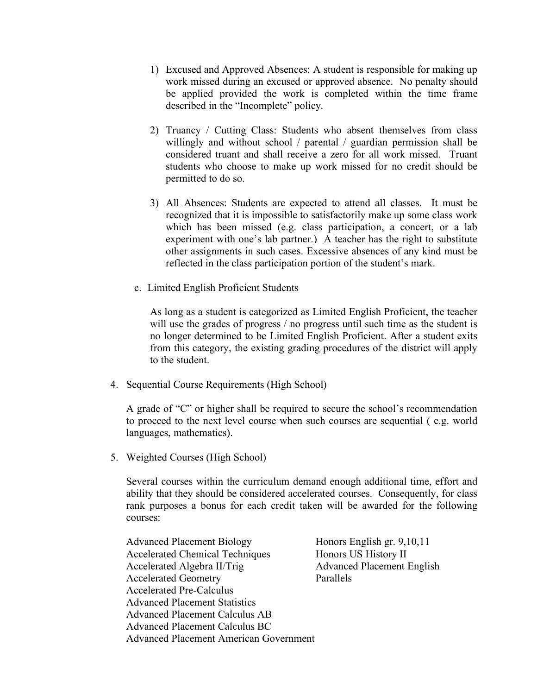- 1) Excused and Approved Absences: A student is responsible for making up work missed during an excused or approved absence. No penalty should be applied provided the work is completed within the time frame described in the "Incomplete" policy.
- 2) Truancy / Cutting Class: Students who absent themselves from class willingly and without school / parental / guardian permission shall be considered truant and shall receive a zero for all work missed. Truant students who choose to make up work missed for no credit should be permitted to do so.
- 3) All Absences: Students are expected to attend all classes. It must be recognized that it is impossible to satisfactorily make up some class work which has been missed (e.g. class participation, a concert, or a lab experiment with one's lab partner.) A teacher has the right to substitute other assignments in such cases. Excessive absences of any kind must be reflected in the class participation portion of the student's mark.
- c. Limited English Proficient Students

As long as a student is categorized as Limited English Proficient, the teacher will use the grades of progress / no progress until such time as the student is no longer determined to be Limited English Proficient. After a student exits from this category, the existing grading procedures of the district will apply to the student.

4. Sequential Course Requirements (High School)

A grade of "C" or higher shall be required to secure the school's recommendation to proceed to the next level course when such courses are sequential ( e.g. world languages, mathematics).

5. Weighted Courses (High School)

Several courses within the curriculum demand enough additional time, effort and ability that they should be considered accelerated courses. Consequently, for class rank purposes a bonus for each credit taken will be awarded for the following courses:

Advanced Placement Biology Honors English gr. 9,10,11 Accelerated Chemical Techniques Honors US History II Accelerated Algebra II/Trig Advanced Placement English Accelerated Geometry Parallels Accelerated Pre-Calculus Advanced Placement Statistics Advanced Placement Calculus AB Advanced Placement Calculus BC Advanced Placement American Government